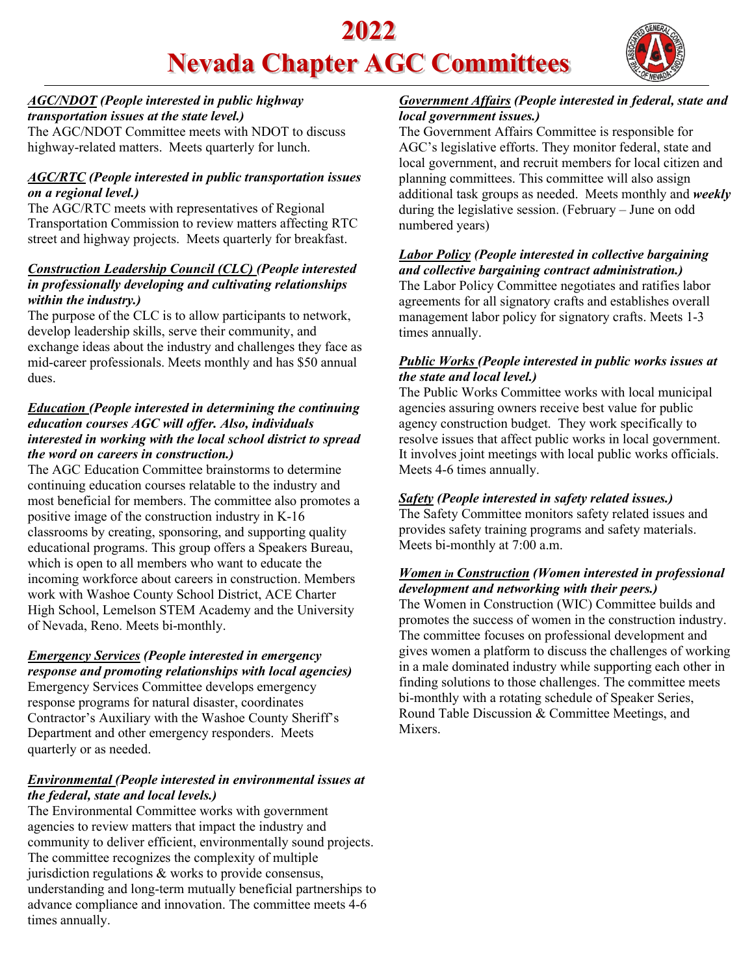# **2022 Nevada Chapter AGC Committees**



#### *AGC/NDOT (People interested in public highway transportation issues at the state level.)*

The AGC/NDOT Committee meets with NDOT to discuss highway-related matters. Meets quarterly for lunch.

#### *AGC/RTC (People interested in public transportation issues on a regional level.)*

The AGC/RTC meets with representatives of Regional Transportation Commission to review matters affecting RTC street and highway projects. Meets quarterly for breakfast.

#### *Construction Leadership Council (CLC) (People interested in professionally developing and cultivating relationships within the industry.)*

The purpose of the CLC is to allow participants to network, develop leadership skills, serve their community, and exchange ideas about the industry and challenges they face as mid-career professionals. Meets monthly and has \$50 annual dues.

#### *Education (People interested in determining the continuing education courses AGC will offer. Also, individuals interested in working with the local school district to spread the word on careers in construction.)*

The AGC Education Committee brainstorms to determine continuing education courses relatable to the industry and most beneficial for members. The committee also promotes a positive image of the construction industry in K-16 classrooms by creating, sponsoring, and supporting quality educational programs. This group offers a Speakers Bureau, which is open to all members who want to educate the incoming workforce about careers in construction. Members work with Washoe County School District, ACE Charter High School, Lemelson STEM Academy and the University of Nevada, Reno. Meets bi-monthly.

## *Emergency Services (People interested in emergency response and promoting relationships with local agencies)*

Emergency Services Committee develops emergency response programs for natural disaster, coordinates Contractor's Auxiliary with the Washoe County Sheriff's Department and other emergency responders. Meets quarterly or as needed.

#### *Environmental (People interested in environmental issues at the federal, state and local levels.)*

The Environmental Committee works with government agencies to review matters that impact the industry and community to deliver efficient, environmentally sound projects. The committee recognizes the complexity of multiple jurisdiction regulations & works to provide consensus, understanding and long-term mutually beneficial partnerships to advance compliance and innovation. The committee meets 4-6 times annually.

#### *Government Affairs (People interested in federal, state and local government issues.)*

The Government Affairs Committee is responsible for AGC's legislative efforts. They monitor federal, state and local government, and recruit members for local citizen and planning committees. This committee will also assign additional task groups as needed. Meets monthly and *weekly* during the legislative session. (February – June on odd numbered years)

## *Labor Policy (People interested in collective bargaining and collective bargaining contract administration.)*

The Labor Policy Committee negotiates and ratifies labor agreements for all signatory crafts and establishes overall management labor policy for signatory crafts. Meets 1-3 times annually.

#### *Public Works (People interested in public works issues at the state and local level.)*

The Public Works Committee works with local municipal agencies assuring owners receive best value for public agency construction budget. They work specifically to resolve issues that affect public works in local government. It involves joint meetings with local public works officials. Meets 4-6 times annually.

### *Safety (People interested in safety related issues.)*

The Safety Committee monitors safety related issues and provides safety training programs and safety materials. Meets bi-monthly at 7:00 a.m.

#### *Women in Construction (Women interested in professional development and networking with their peers.)*

The Women in Construction (WIC) Committee builds and promotes the success of women in the construction industry. The committee focuses on professional development and gives women a platform to discuss the challenges of working in a male dominated industry while supporting each other in finding solutions to those challenges. The committee meets bi-monthly with a rotating schedule of Speaker Series, Round Table Discussion & Committee Meetings, and Mixers.